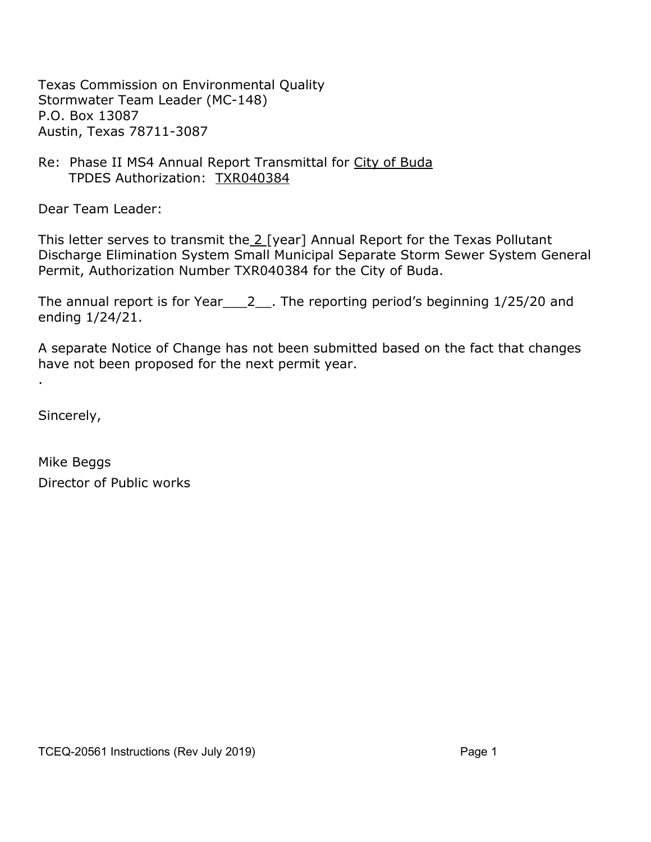Texas Commission on Environmental Quality Stormwater Team Leader (MC-148) P.O. Box 13087 Austin, Texas 78711-3087

#### Re: Phase II MS4 Annual Report Transmittal for City of Buda TPDES Authorization: TXR040384

Dear Team Leader:

This letter serves to transmit the 2 [year] Annual Report for the Texas Pollutant Discharge Elimination System Small Municipal Separate Storm Sewer System General Permit, Authorization Number TXR040384 for the City of Buda.

The annual report is for Year 2 . The reporting period's beginning 1/25/20 and ending 1/24/21.

A separate Notice of Change has not been submitted based on the fact that changes have not been proposed for the next permit year.

Sincerely,

.

Mike Beggs Director of Public works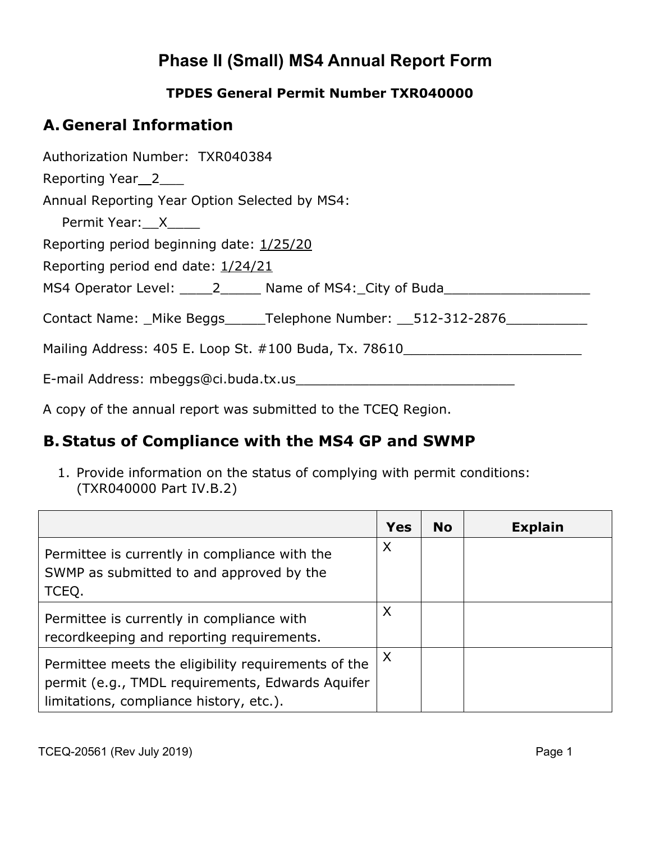# **Phase II (Small) MS4 Annual Report Form**

#### **TPDES General Permit Number TXR040000**

### **A. General Information**

Authorization Number: TXR040384 Reporting Year 2\_\_\_ Annual Reporting Year Option Selected by MS4: Permit Year: X Reporting period beginning date: 1/25/20 Reporting period end date: 1/24/21 MS4 Operator Level: 2\_\_\_\_\_\_\_ Name of MS4: City of Buda Contact Name: \_Mike Beggs \_\_\_\_\_Telephone Number: \_\_512-312-2876\_\_\_\_\_\_\_\_\_\_\_\_ Mailing Address: 405 E. Loop St. #100 Buda, Tx. 78610\_\_\_\_\_\_\_\_\_\_\_\_\_\_\_\_\_\_\_\_\_\_\_\_\_\_\_ E-mail Address: mbeggs@ci.buda.tx.us\_\_\_\_\_\_\_\_\_\_\_\_\_\_\_\_\_\_\_\_\_\_\_\_\_\_\_

A copy of the annual report was submitted to the TCEQ Region.

#### **B. Status of Compliance with the MS4 GP and SWMP**

1. Provide information on the status of complying with permit conditions: (TXR040000 Part IV.B.2)

|                                                                                                                                                    | <b>Yes</b> | <b>No</b> | <b>Explain</b> |
|----------------------------------------------------------------------------------------------------------------------------------------------------|------------|-----------|----------------|
| Permittee is currently in compliance with the<br>SWMP as submitted to and approved by the<br>TCEQ.                                                 | X          |           |                |
| Permittee is currently in compliance with<br>recordkeeping and reporting requirements.                                                             | X          |           |                |
| Permittee meets the eligibility requirements of the<br>permit (e.g., TMDL requirements, Edwards Aquifer<br>limitations, compliance history, etc.). | X          |           |                |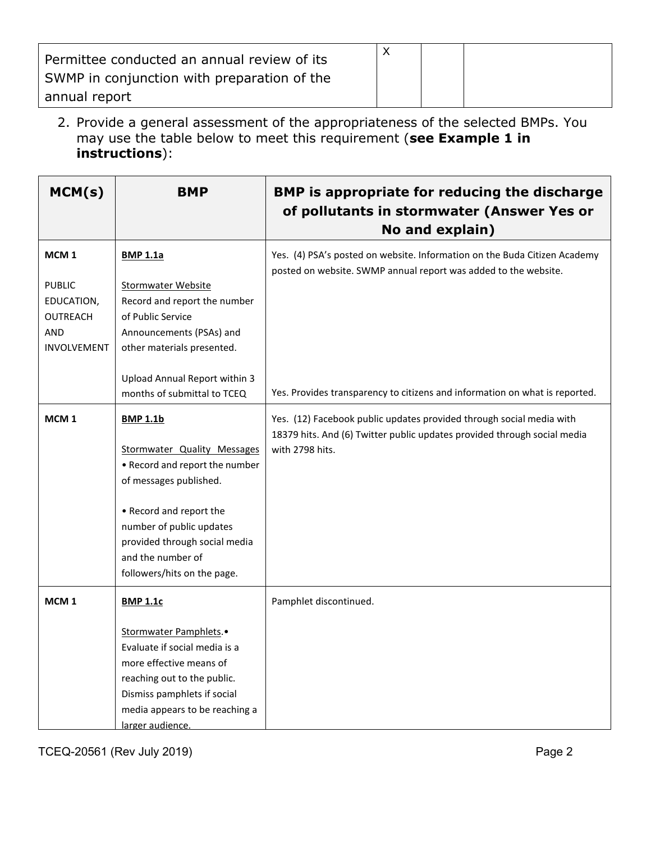| Permittee conducted an annual review of its<br>SWMP in conjunction with preparation of the<br>annual report |  |  |
|-------------------------------------------------------------------------------------------------------------|--|--|
|                                                                                                             |  |  |

2. Provide a general assessment of the appropriateness of the selected BMPs. You may use the table below to meet this requirement (**see Example 1 in instructions**):

| <b>BMP</b>                                                                                                                                                                                                                                             | <b>BMP is appropriate for reducing the discharge</b><br>of pollutants in stormwater (Answer Yes or<br>No and explain)                                               |
|--------------------------------------------------------------------------------------------------------------------------------------------------------------------------------------------------------------------------------------------------------|---------------------------------------------------------------------------------------------------------------------------------------------------------------------|
| <b>BMP 1.1a</b><br><b>Stormwater Website</b><br>Record and report the number<br>of Public Service<br>Announcements (PSAs) and<br>other materials presented.                                                                                            | Yes. (4) PSA's posted on website. Information on the Buda Citizen Academy<br>posted on website. SWMP annual report was added to the website.                        |
| Upload Annual Report within 3<br>months of submittal to TCEQ                                                                                                                                                                                           | Yes. Provides transparency to citizens and information on what is reported.                                                                                         |
| <b>BMP 1.1b</b><br>Stormwater Quality Messages<br>• Record and report the number<br>of messages published.<br>• Record and report the<br>number of public updates<br>provided through social media<br>and the number of<br>followers/hits on the page. | Yes. (12) Facebook public updates provided through social media with<br>18379 hits. And (6) Twitter public updates provided through social media<br>with 2798 hits. |
| <b>BMP 1.1c</b><br>Stormwater Pamphlets.<br>Evaluate if social media is a<br>more effective means of<br>reaching out to the public.<br>Dismiss pamphlets if social<br>media appears to be reaching a                                                   | Pamphlet discontinued.                                                                                                                                              |
|                                                                                                                                                                                                                                                        | larger audience.                                                                                                                                                    |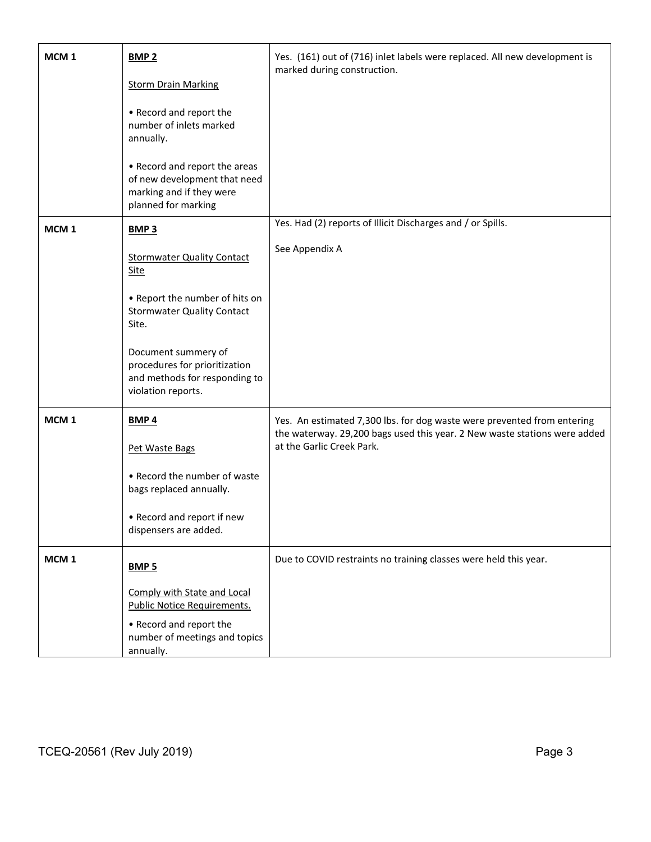| MCM <sub>1</sub> | <b>BMP 2</b><br><b>Storm Drain Marking</b><br>• Record and report the<br>number of inlets marked<br>annually.<br>• Record and report the areas<br>of new development that need<br>marking and if they were<br>planned for marking                              | Yes. (161) out of (716) inlet labels were replaced. All new development is<br>marked during construction.                                                                         |  |  |  |
|------------------|----------------------------------------------------------------------------------------------------------------------------------------------------------------------------------------------------------------------------------------------------------------|-----------------------------------------------------------------------------------------------------------------------------------------------------------------------------------|--|--|--|
| MCM <sub>1</sub> | <b>BMP3</b><br><b>Stormwater Quality Contact</b><br><b>Site</b><br>• Report the number of hits on<br><b>Stormwater Quality Contact</b><br>Site.<br>Document summery of<br>procedures for prioritization<br>and methods for responding to<br>violation reports. | Yes. Had (2) reports of Illicit Discharges and / or Spills.<br>See Appendix A                                                                                                     |  |  |  |
| MCM <sub>1</sub> | <b>BMP4</b><br>Pet Waste Bags<br>• Record the number of waste<br>bags replaced annually.<br>• Record and report if new<br>dispensers are added.                                                                                                                | Yes. An estimated 7,300 lbs. for dog waste were prevented from entering<br>the waterway. 29,200 bags used this year. 2 New waste stations were added<br>at the Garlic Creek Park. |  |  |  |
| MCM <sub>1</sub> | <b>BMP 5</b><br>Comply with State and Local<br><b>Public Notice Requirements.</b><br>• Record and report the<br>number of meetings and topics<br>annually.                                                                                                     | Due to COVID restraints no training classes were held this year.                                                                                                                  |  |  |  |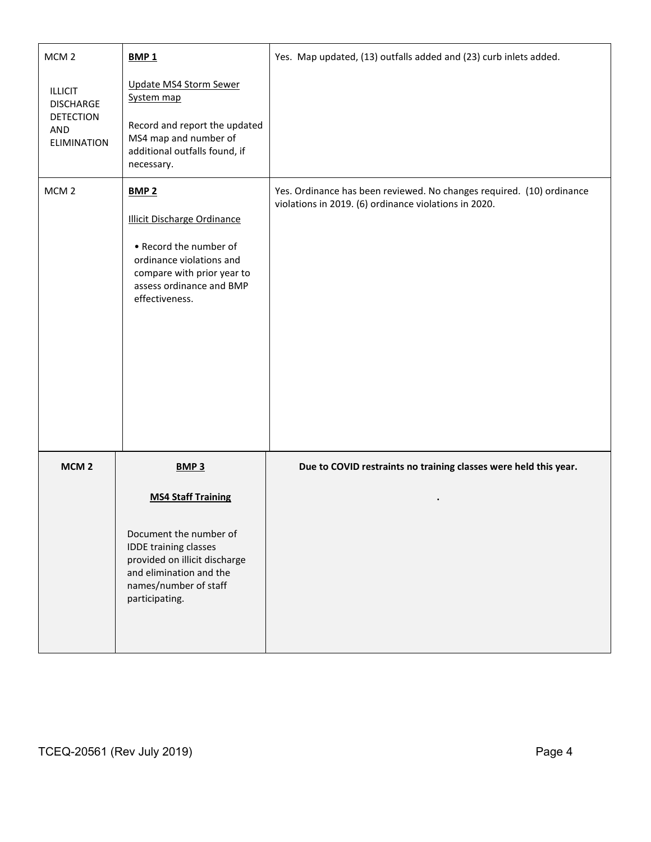| MCM <sub>2</sub>                                                                    | <b>BMP1</b>                                                                                                                                                                          | Yes. Map updated, (13) outfalls added and (23) curb inlets added.                                                              |  |  |  |
|-------------------------------------------------------------------------------------|--------------------------------------------------------------------------------------------------------------------------------------------------------------------------------------|--------------------------------------------------------------------------------------------------------------------------------|--|--|--|
| <b>ILLICIT</b><br><b>DISCHARGE</b><br><b>DETECTION</b><br>AND<br><b>ELIMINATION</b> | Update MS4 Storm Sewer<br>System map<br>Record and report the updated<br>MS4 map and number of<br>additional outfalls found, if<br>necessary.                                        |                                                                                                                                |  |  |  |
| MCM <sub>2</sub>                                                                    | <b>BMP 2</b><br><b>Illicit Discharge Ordinance</b><br>• Record the number of<br>ordinance violations and<br>compare with prior year to<br>assess ordinance and BMP<br>effectiveness. | Yes. Ordinance has been reviewed. No changes required. (10) ordinance<br>violations in 2019. (6) ordinance violations in 2020. |  |  |  |
| MCM <sub>2</sub>                                                                    | BMP <sub>3</sub>                                                                                                                                                                     | Due to COVID restraints no training classes were held this year.                                                               |  |  |  |
|                                                                                     | <b>MS4 Staff Training</b><br>Document the number of<br>IDDE training classes<br>provided on illicit discharge<br>and elimination and the<br>names/number of staff<br>participating.  |                                                                                                                                |  |  |  |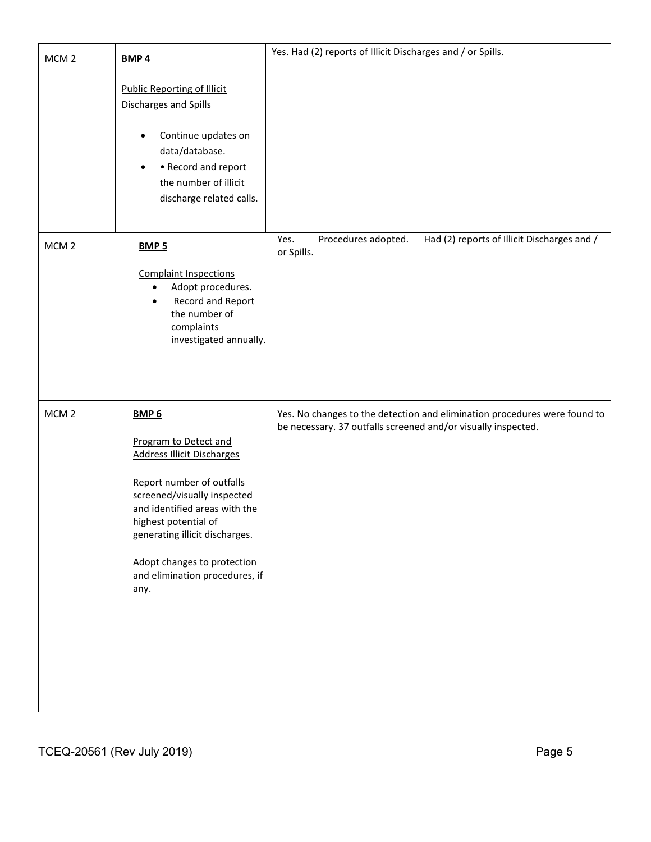| MCM <sub>2</sub> | BMP <sub>4</sub>                                                                                                                                                                                                                                                                                               | Yes. Had (2) reports of Illicit Discharges and / or Spills.                                                                                |
|------------------|----------------------------------------------------------------------------------------------------------------------------------------------------------------------------------------------------------------------------------------------------------------------------------------------------------------|--------------------------------------------------------------------------------------------------------------------------------------------|
|                  | <b>Public Reporting of Illicit</b><br>Discharges and Spills<br>Continue updates on<br>data/database.<br>• Record and report<br>$\bullet$<br>the number of illicit<br>discharge related calls.                                                                                                                  |                                                                                                                                            |
| MCM <sub>2</sub> | <b>BMP 5</b><br><b>Complaint Inspections</b><br>Adopt procedures.<br>٠<br>Record and Report<br>$\bullet$<br>the number of<br>complaints<br>investigated annually.                                                                                                                                              | Procedures adopted.<br>Had (2) reports of Illicit Discharges and /<br>Yes.<br>or Spills.                                                   |
| MCM <sub>2</sub> | BMP <sub>6</sub><br>Program to Detect and<br><b>Address Illicit Discharges</b><br>Report number of outfalls<br>screened/visually inspected<br>and identified areas with the<br>highest potential of<br>generating illicit discharges.<br>Adopt changes to protection<br>and elimination procedures, if<br>any. | Yes. No changes to the detection and elimination procedures were found to<br>be necessary. 37 outfalls screened and/or visually inspected. |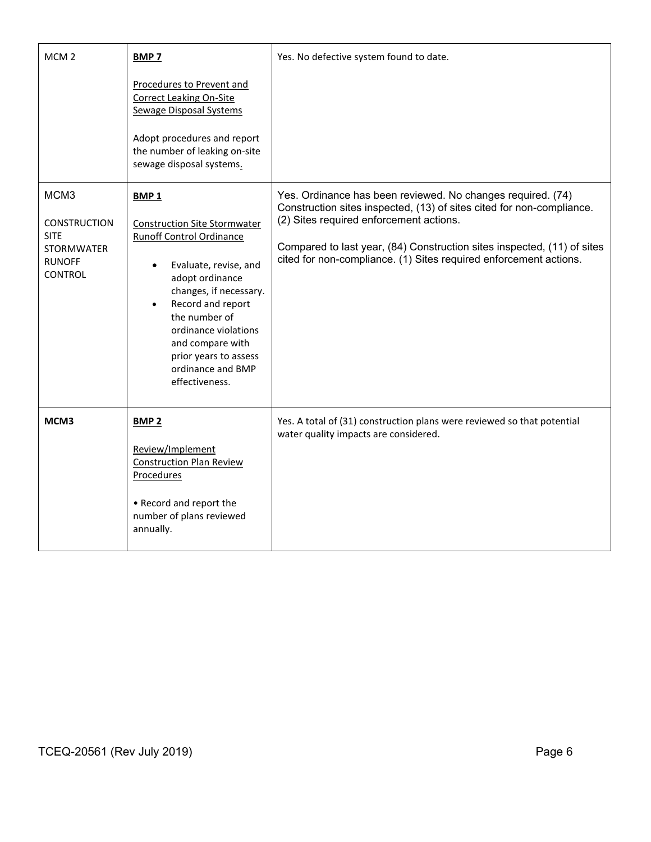| MCM <sub>2</sub>                                                                            | <b>BMP7</b>                                                                                                                                                                                                                                                                                                        | Yes. No defective system found to date.                                                                                                                                                                                                                                                                                         |  |  |  |
|---------------------------------------------------------------------------------------------|--------------------------------------------------------------------------------------------------------------------------------------------------------------------------------------------------------------------------------------------------------------------------------------------------------------------|---------------------------------------------------------------------------------------------------------------------------------------------------------------------------------------------------------------------------------------------------------------------------------------------------------------------------------|--|--|--|
|                                                                                             | Procedures to Prevent and<br><b>Correct Leaking On-Site</b><br><b>Sewage Disposal Systems</b><br>Adopt procedures and report<br>the number of leaking on-site<br>sewage disposal systems.                                                                                                                          |                                                                                                                                                                                                                                                                                                                                 |  |  |  |
| MCM3<br><b>CONSTRUCTION</b><br><b>SITE</b><br><b>STORMWATER</b><br><b>RUNOFF</b><br>CONTROL | BMP <sub>1</sub><br><b>Construction Site Stormwater</b><br><b>Runoff Control Ordinance</b><br>Evaluate, revise, and<br>adopt ordinance<br>changes, if necessary.<br>Record and report<br>the number of<br>ordinance violations<br>and compare with<br>prior years to assess<br>ordinance and BMP<br>effectiveness. | Yes. Ordinance has been reviewed. No changes required. (74)<br>Construction sites inspected, (13) of sites cited for non-compliance.<br>(2) Sites required enforcement actions.<br>Compared to last year, (84) Construction sites inspected, (11) of sites<br>cited for non-compliance. (1) Sites required enforcement actions. |  |  |  |
| MCM3                                                                                        | BMP <sub>2</sub><br>Review/Implement<br><b>Construction Plan Review</b><br><b>Procedures</b><br>• Record and report the<br>number of plans reviewed<br>annually.                                                                                                                                                   | Yes. A total of (31) construction plans were reviewed so that potential<br>water quality impacts are considered.                                                                                                                                                                                                                |  |  |  |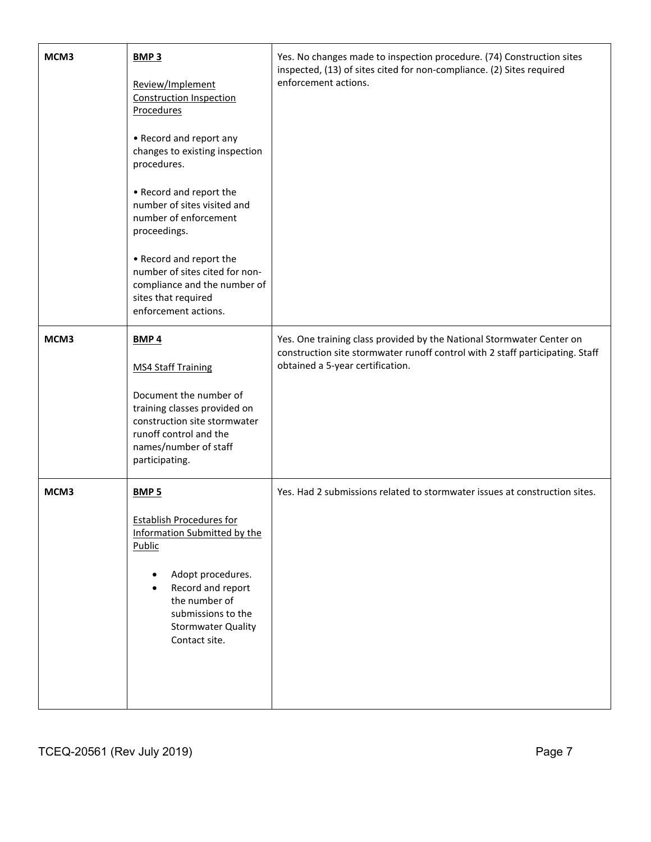| MCM3 | <b>BMP 3</b><br>Review/Implement<br><b>Construction Inspection</b><br><b>Procedures</b><br>• Record and report any<br>changes to existing inspection<br>procedures.<br>• Record and report the<br>number of sites visited and<br>number of enforcement<br>proceedings.<br>• Record and report the | Yes. No changes made to inspection procedure. (74) Construction sites<br>inspected, (13) of sites cited for non-compliance. (2) Sites required<br>enforcement actions.                     |
|------|---------------------------------------------------------------------------------------------------------------------------------------------------------------------------------------------------------------------------------------------------------------------------------------------------|--------------------------------------------------------------------------------------------------------------------------------------------------------------------------------------------|
|      | number of sites cited for non-<br>compliance and the number of<br>sites that required<br>enforcement actions.                                                                                                                                                                                     |                                                                                                                                                                                            |
| MCM3 | BMP <sub>4</sub><br><b>MS4 Staff Training</b><br>Document the number of<br>training classes provided on<br>construction site stormwater<br>runoff control and the<br>names/number of staff<br>participating.                                                                                      | Yes. One training class provided by the National Stormwater Center on<br>construction site stormwater runoff control with 2 staff participating. Staff<br>obtained a 5-year certification. |
| MCM3 | BMP <sub>5</sub><br><b>Establish Procedures for</b><br>Information Submitted by the<br><b>Public</b><br>Adopt procedures.<br>٠<br>Record and report<br>the number of<br>submissions to the<br><b>Stormwater Quality</b><br>Contact site.                                                          | Yes. Had 2 submissions related to stormwater issues at construction sites.                                                                                                                 |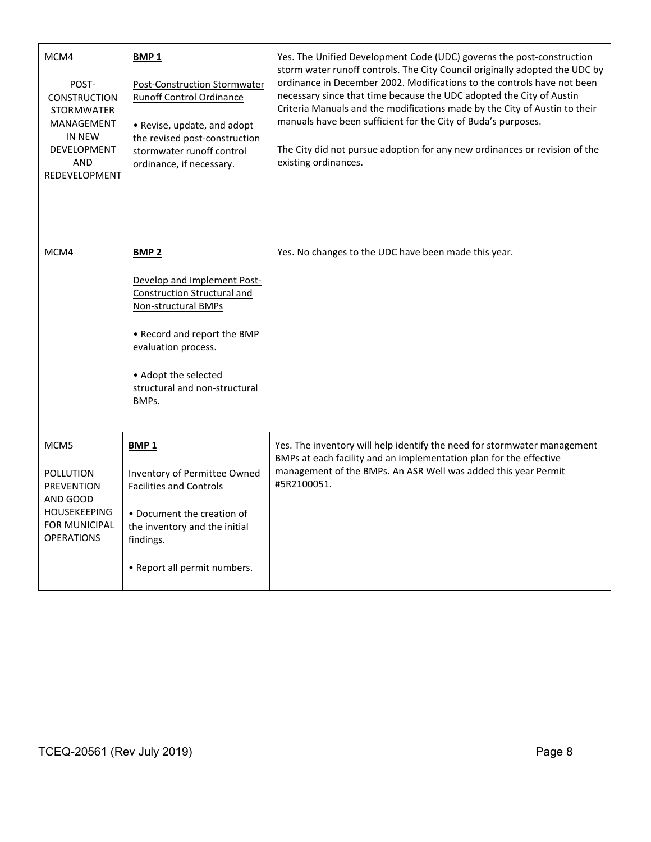| MCM4<br>POST-<br><b>CONSTRUCTION</b><br><b>STORMWATER</b><br>MANAGEMENT<br>IN NEW<br><b>DEVELOPMENT</b><br><b>AND</b><br>REDEVELOPMENT | <b>BMP1</b><br><b>Post-Construction Stormwater</b><br><b>Runoff Control Ordinance</b><br>• Revise, update, and adopt<br>the revised post-construction<br>stormwater runoff control<br>ordinance, if necessary.           | Yes. The Unified Development Code (UDC) governs the post-construction<br>storm water runoff controls. The City Council originally adopted the UDC by<br>ordinance in December 2002. Modifications to the controls have not been<br>necessary since that time because the UDC adopted the City of Austin<br>Criteria Manuals and the modifications made by the City of Austin to their<br>manuals have been sufficient for the City of Buda's purposes.<br>The City did not pursue adoption for any new ordinances or revision of the<br>existing ordinances. |
|----------------------------------------------------------------------------------------------------------------------------------------|--------------------------------------------------------------------------------------------------------------------------------------------------------------------------------------------------------------------------|--------------------------------------------------------------------------------------------------------------------------------------------------------------------------------------------------------------------------------------------------------------------------------------------------------------------------------------------------------------------------------------------------------------------------------------------------------------------------------------------------------------------------------------------------------------|
| MCM4                                                                                                                                   | <b>BMP2</b><br>Develop and Implement Post-<br>Construction Structural and<br>Non-structural BMPs<br>• Record and report the BMP<br>evaluation process.<br>• Adopt the selected<br>structural and non-structural<br>BMPs. | Yes. No changes to the UDC have been made this year.                                                                                                                                                                                                                                                                                                                                                                                                                                                                                                         |
| MCM <sub>5</sub><br>POLLUTION<br>PREVENTION<br>AND GOOD<br><b>HOUSEKEEPING</b><br><b>FOR MUNICIPAL</b><br><b>OPERATIONS</b>            | BMP <sub>1</sub><br><b>Inventory of Permittee Owned</b><br><b>Facilities and Controls</b><br>• Document the creation of<br>the inventory and the initial<br>findings.<br>• Report all permit numbers.                    | Yes. The inventory will help identify the need for stormwater management<br>BMPs at each facility and an implementation plan for the effective<br>management of the BMPs. An ASR Well was added this year Permit<br>#5R2100051.                                                                                                                                                                                                                                                                                                                              |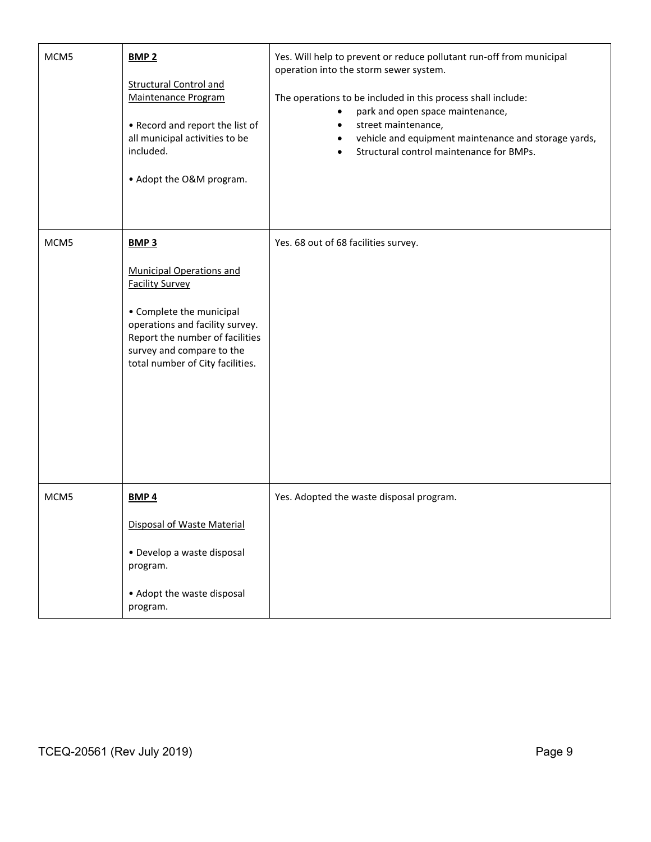| MCM5             | <b>BMP 2</b><br><b>Structural Control and</b><br>Maintenance Program<br>• Record and report the list of<br>all municipal activities to be<br>included.<br>• Adopt the O&M program.                                                          | Yes. Will help to prevent or reduce pollutant run-off from municipal<br>operation into the storm sewer system.<br>The operations to be included in this process shall include:<br>park and open space maintenance,<br>$\bullet$<br>street maintenance,<br>$\bullet$<br>vehicle and equipment maintenance and storage yards,<br>$\bullet$<br>Structural control maintenance for BMPs. |  |  |  |
|------------------|---------------------------------------------------------------------------------------------------------------------------------------------------------------------------------------------------------------------------------------------|--------------------------------------------------------------------------------------------------------------------------------------------------------------------------------------------------------------------------------------------------------------------------------------------------------------------------------------------------------------------------------------|--|--|--|
| MCM <sub>5</sub> | <b>BMP3</b><br><b>Municipal Operations and</b><br><b>Facility Survey</b><br>• Complete the municipal<br>operations and facility survey.<br>Report the number of facilities<br>survey and compare to the<br>total number of City facilities. | Yes. 68 out of 68 facilities survey.                                                                                                                                                                                                                                                                                                                                                 |  |  |  |
| MCM <sub>5</sub> | <b>BMP4</b><br>Disposal of Waste Material<br>· Develop a waste disposal<br>program.<br>• Adopt the waste disposal<br>program.                                                                                                               | Yes. Adopted the waste disposal program.                                                                                                                                                                                                                                                                                                                                             |  |  |  |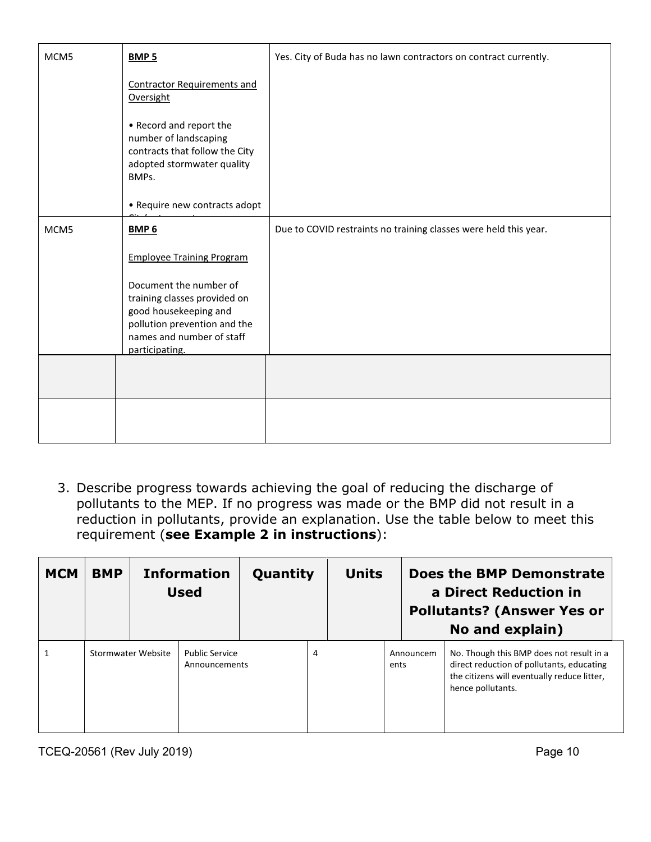| MCM <sub>5</sub> | <b>BMP 5</b>                                                                                                                                                   | Yes. City of Buda has no lawn contractors on contract currently. |  |  |  |
|------------------|----------------------------------------------------------------------------------------------------------------------------------------------------------------|------------------------------------------------------------------|--|--|--|
|                  | <b>Contractor Requirements and</b><br>Oversight                                                                                                                |                                                                  |  |  |  |
|                  | • Record and report the<br>number of landscaping<br>contracts that follow the City<br>adopted stormwater quality<br>BMPs.                                      |                                                                  |  |  |  |
|                  | • Require new contracts adopt                                                                                                                                  |                                                                  |  |  |  |
| MCM <sub>5</sub> | <b>BMP 6</b>                                                                                                                                                   | Due to COVID restraints no training classes were held this year. |  |  |  |
|                  | <b>Employee Training Program</b>                                                                                                                               |                                                                  |  |  |  |
|                  | Document the number of<br>training classes provided on<br>good housekeeping and<br>pollution prevention and the<br>names and number of staff<br>participating. |                                                                  |  |  |  |
|                  |                                                                                                                                                                |                                                                  |  |  |  |
|                  |                                                                                                                                                                |                                                                  |  |  |  |

3. Describe progress towards achieving the goal of reducing the discharge of pollutants to the MEP. If no progress was made or the BMP did not result in a reduction in pollutants, provide an explanation. Use the table below to meet this requirement (**see Example 2 in instructions**):

| <b>MCM</b> | <b>BMP</b> |                    | <b>Information</b><br><b>Used</b>      | Quantity |   | <b>Units</b> |      |           | Does the BMP Demonstrate<br>a Direct Reduction in<br><b>Pollutants? (Answer Yes or</b><br>No and explain)                                                 |
|------------|------------|--------------------|----------------------------------------|----------|---|--------------|------|-----------|-----------------------------------------------------------------------------------------------------------------------------------------------------------|
|            |            | Stormwater Website | <b>Public Service</b><br>Announcements |          | 4 |              | ents | Announcem | No. Though this BMP does not result in a<br>direct reduction of pollutants, educating<br>the citizens will eventually reduce litter,<br>hence pollutants. |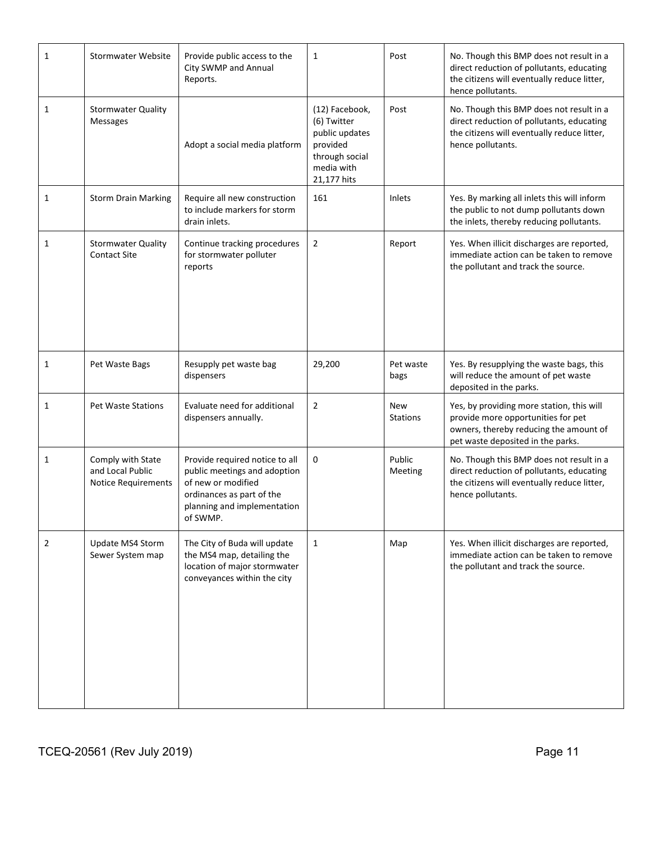| 1            | <b>Stormwater Website</b>                                    | Provide public access to the<br>City SWMP and Annual<br>Reports.                                                                                             | 1                                                                                                          | Post                   | No. Though this BMP does not result in a<br>direct reduction of pollutants, educating<br>the citizens will eventually reduce litter,<br>hence pollutants.      |
|--------------|--------------------------------------------------------------|--------------------------------------------------------------------------------------------------------------------------------------------------------------|------------------------------------------------------------------------------------------------------------|------------------------|----------------------------------------------------------------------------------------------------------------------------------------------------------------|
| 1            | <b>Stormwater Quality</b><br><b>Messages</b>                 | Adopt a social media platform                                                                                                                                | (12) Facebook,<br>(6) Twitter<br>public updates<br>provided<br>through social<br>media with<br>21,177 hits | Post                   | No. Though this BMP does not result in a<br>direct reduction of pollutants, educating<br>the citizens will eventually reduce litter,<br>hence pollutants.      |
| $\mathbf{1}$ | <b>Storm Drain Marking</b>                                   | Require all new construction<br>to include markers for storm<br>drain inlets.                                                                                | 161                                                                                                        | Inlets                 | Yes. By marking all inlets this will inform<br>the public to not dump pollutants down<br>the inlets, thereby reducing pollutants.                              |
| 1            | <b>Stormwater Quality</b><br><b>Contact Site</b>             | Continue tracking procedures<br>for stormwater polluter<br>reports                                                                                           | $\overline{2}$                                                                                             | Report                 | Yes. When illicit discharges are reported,<br>immediate action can be taken to remove<br>the pollutant and track the source.                                   |
| 1            | Pet Waste Bags                                               | Resupply pet waste bag<br>dispensers                                                                                                                         | 29,200                                                                                                     | Pet waste<br>bags      | Yes. By resupplying the waste bags, this<br>will reduce the amount of pet waste<br>deposited in the parks.                                                     |
| 1            | <b>Pet Waste Stations</b>                                    | Evaluate need for additional<br>dispensers annually.                                                                                                         | $\overline{2}$                                                                                             | <b>New</b><br>Stations | Yes, by providing more station, this will<br>provide more opportunities for pet<br>owners, thereby reducing the amount of<br>pet waste deposited in the parks. |
| 1            | Comply with State<br>and Local Public<br>Notice Requirements | Provide required notice to all<br>public meetings and adoption<br>of new or modified<br>ordinances as part of the<br>planning and implementation<br>of SWMP. | 0                                                                                                          | Public<br>Meeting      | No. Though this BMP does not result in a<br>direct reduction of pollutants, educating<br>the citizens will eventually reduce litter,<br>hence pollutants.      |
| 2            | Update MS4 Storm<br>Sewer System map                         | The City of Buda will update<br>the MS4 map, detailing the<br>location of major stormwater<br>conveyances within the city                                    | $\mathbf{1}$                                                                                               | Map                    | Yes. When illicit discharges are reported,<br>immediate action can be taken to remove<br>the pollutant and track the source.                                   |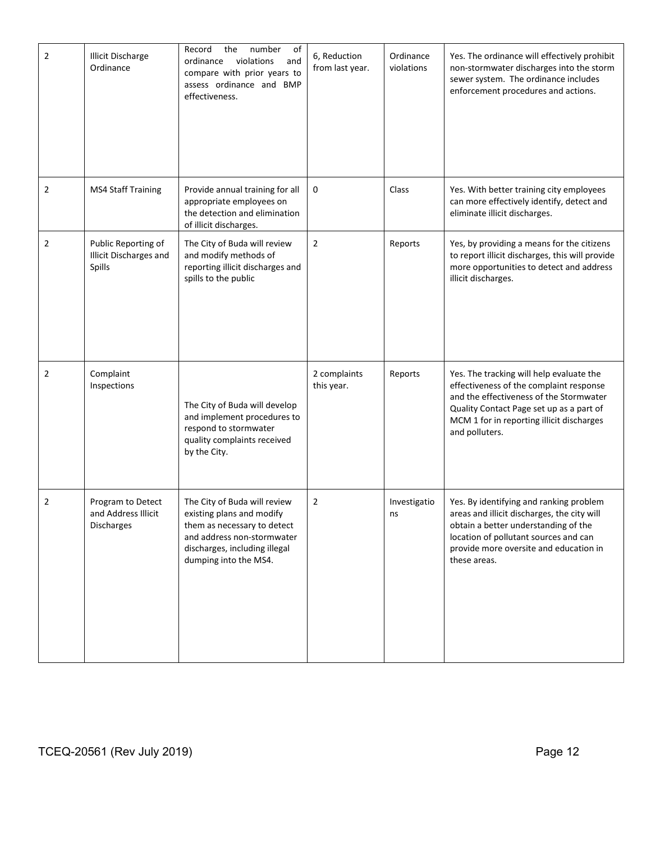| $\overline{2}$ | <b>Illicit Discharge</b><br>Ordinance                         | of<br>Record<br>the<br>number<br>violations<br>and<br>ordinance<br>compare with prior years to<br>assess ordinance and BMP<br>effectiveness.                                     | 6, Reduction<br>from last year. | Ordinance<br>violations | Yes. The ordinance will effectively prohibit<br>non-stormwater discharges into the storm<br>sewer system. The ordinance includes<br>enforcement procedures and actions.                                                                   |
|----------------|---------------------------------------------------------------|----------------------------------------------------------------------------------------------------------------------------------------------------------------------------------|---------------------------------|-------------------------|-------------------------------------------------------------------------------------------------------------------------------------------------------------------------------------------------------------------------------------------|
| 2              | <b>MS4 Staff Training</b>                                     | Provide annual training for all<br>appropriate employees on<br>the detection and elimination<br>of illicit discharges.                                                           | 0                               | Class                   | Yes. With better training city employees<br>can more effectively identify, detect and<br>eliminate illicit discharges.                                                                                                                    |
| 2              | Public Reporting of<br>Illicit Discharges and<br>Spills       | The City of Buda will review<br>and modify methods of<br>reporting illicit discharges and<br>spills to the public                                                                | $\overline{2}$                  | Reports                 | Yes, by providing a means for the citizens<br>to report illicit discharges, this will provide<br>more opportunities to detect and address<br>illicit discharges.                                                                          |
| 2              | Complaint<br>Inspections                                      | The City of Buda will develop<br>and implement procedures to<br>respond to stormwater<br>quality complaints received<br>by the City.                                             | 2 complaints<br>this year.      | Reports                 | Yes. The tracking will help evaluate the<br>effectiveness of the complaint response<br>and the effectiveness of the Stormwater<br>Quality Contact Page set up as a part of<br>MCM 1 for in reporting illicit discharges<br>and polluters. |
| 2              | Program to Detect<br>and Address Illicit<br><b>Discharges</b> | The City of Buda will review<br>existing plans and modify<br>them as necessary to detect<br>and address non-stormwater<br>discharges, including illegal<br>dumping into the MS4. | $\overline{2}$                  | Investigatio<br>ns      | Yes. By identifying and ranking problem<br>areas and illicit discharges, the city will<br>obtain a better understanding of the<br>location of pollutant sources and can<br>provide more oversite and education in<br>these areas.         |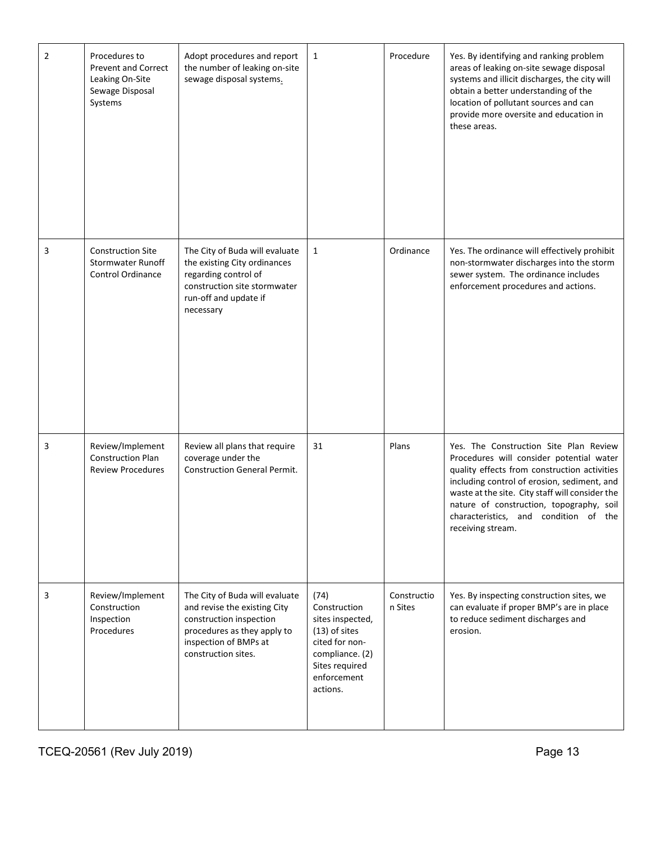| $\overline{2}$ | Procedures to<br><b>Prevent and Correct</b><br>Leaking On-Site<br>Sewage Disposal<br>Systems | Adopt procedures and report<br>the number of leaking on-site<br>sewage disposal systems.                                                                                 | $\mathbf{1}$                                                                                                                                  | Procedure              | Yes. By identifying and ranking problem<br>areas of leaking on-site sewage disposal<br>systems and illicit discharges, the city will<br>obtain a better understanding of the<br>location of pollutant sources and can<br>provide more oversite and education in<br>these areas.                                                                |
|----------------|----------------------------------------------------------------------------------------------|--------------------------------------------------------------------------------------------------------------------------------------------------------------------------|-----------------------------------------------------------------------------------------------------------------------------------------------|------------------------|------------------------------------------------------------------------------------------------------------------------------------------------------------------------------------------------------------------------------------------------------------------------------------------------------------------------------------------------|
| 3              | <b>Construction Site</b><br><b>Stormwater Runoff</b><br><b>Control Ordinance</b>             | The City of Buda will evaluate<br>the existing City ordinances<br>regarding control of<br>construction site stormwater<br>run-off and update if<br>necessary             | $\mathbf{1}$                                                                                                                                  | Ordinance              | Yes. The ordinance will effectively prohibit<br>non-stormwater discharges into the storm<br>sewer system. The ordinance includes<br>enforcement procedures and actions.                                                                                                                                                                        |
| 3              | Review/Implement<br><b>Construction Plan</b><br><b>Review Procedures</b>                     | Review all plans that require<br>coverage under the<br><b>Construction General Permit.</b>                                                                               | 31                                                                                                                                            | Plans                  | Yes. The Construction Site Plan Review<br>Procedures will consider potential water<br>quality effects from construction activities<br>including control of erosion, sediment, and<br>waste at the site. City staff will consider the<br>nature of construction, topography, soil<br>characteristics, and condition of the<br>receiving stream. |
| 3              | Review/Implement<br>Construction<br>Inspection<br>Procedures                                 | The City of Buda will evaluate<br>and revise the existing City<br>construction inspection<br>procedures as they apply to<br>inspection of BMPs at<br>construction sites. | (74)<br>Construction<br>sites inspected,<br>$(13)$ of sites<br>cited for non-<br>compliance. (2)<br>Sites required<br>enforcement<br>actions. | Constructio<br>n Sites | Yes. By inspecting construction sites, we<br>can evaluate if proper BMP's are in place<br>to reduce sediment discharges and<br>erosion.                                                                                                                                                                                                        |

TCEQ-20561 (Rev July 2019) **Page 13**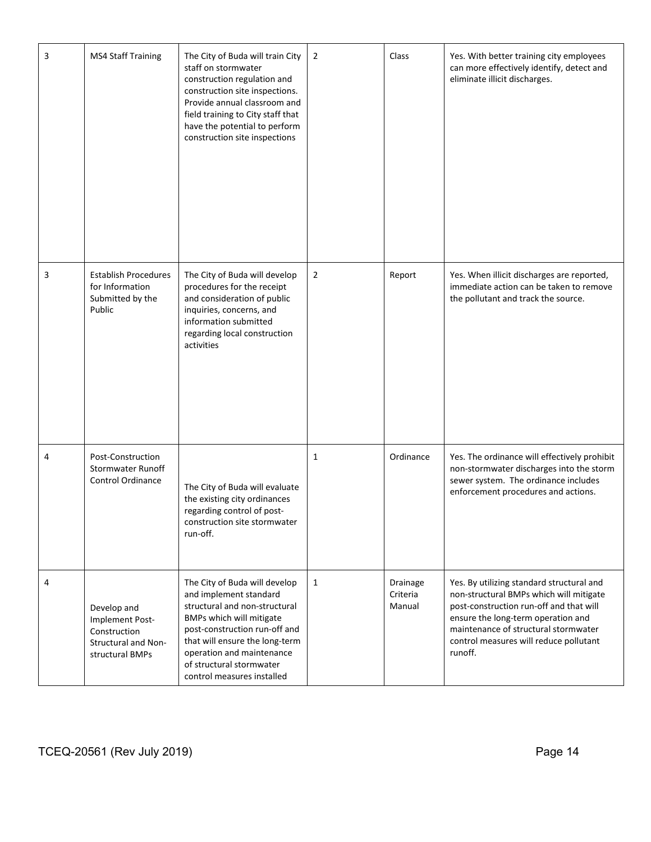| 3 | <b>MS4 Staff Training</b>                                                                | The City of Buda will train City<br>staff on stormwater<br>construction regulation and<br>construction site inspections.<br>Provide annual classroom and<br>field training to City staff that<br>have the potential to perform<br>construction site inspections                | $\overline{2}$ | Class                          | Yes. With better training city employees<br>can more effectively identify, detect and<br>eliminate illicit discharges.                                                                                                                                             |
|---|------------------------------------------------------------------------------------------|--------------------------------------------------------------------------------------------------------------------------------------------------------------------------------------------------------------------------------------------------------------------------------|----------------|--------------------------------|--------------------------------------------------------------------------------------------------------------------------------------------------------------------------------------------------------------------------------------------------------------------|
| 3 | <b>Establish Procedures</b><br>for Information<br>Submitted by the<br>Public             | The City of Buda will develop<br>procedures for the receipt<br>and consideration of public<br>inquiries, concerns, and<br>information submitted<br>regarding local construction<br>activities                                                                                  | $\overline{2}$ | Report                         | Yes. When illicit discharges are reported,<br>immediate action can be taken to remove<br>the pollutant and track the source.                                                                                                                                       |
| 4 | Post-Construction<br><b>Stormwater Runoff</b><br><b>Control Ordinance</b>                | The City of Buda will evaluate<br>the existing city ordinances<br>regarding control of post-<br>construction site stormwater<br>run-off.                                                                                                                                       | 1              | Ordinance                      | Yes. The ordinance will effectively prohibit<br>non-stormwater discharges into the storm<br>sewer system. The ordinance includes<br>enforcement procedures and actions.                                                                                            |
| 4 | Develop and<br>Implement Post-<br>Construction<br>Structural and Non-<br>structural BMPs | The City of Buda will develop<br>and implement standard<br>structural and non-structural<br>BMPs which will mitigate<br>post-construction run-off and<br>that will ensure the long-term<br>operation and maintenance<br>of structural stormwater<br>control measures installed | $\mathbf{1}$   | Drainage<br>Criteria<br>Manual | Yes. By utilizing standard structural and<br>non-structural BMPs which will mitigate<br>post-construction run-off and that will<br>ensure the long-term operation and<br>maintenance of structural stormwater<br>control measures will reduce pollutant<br>runoff. |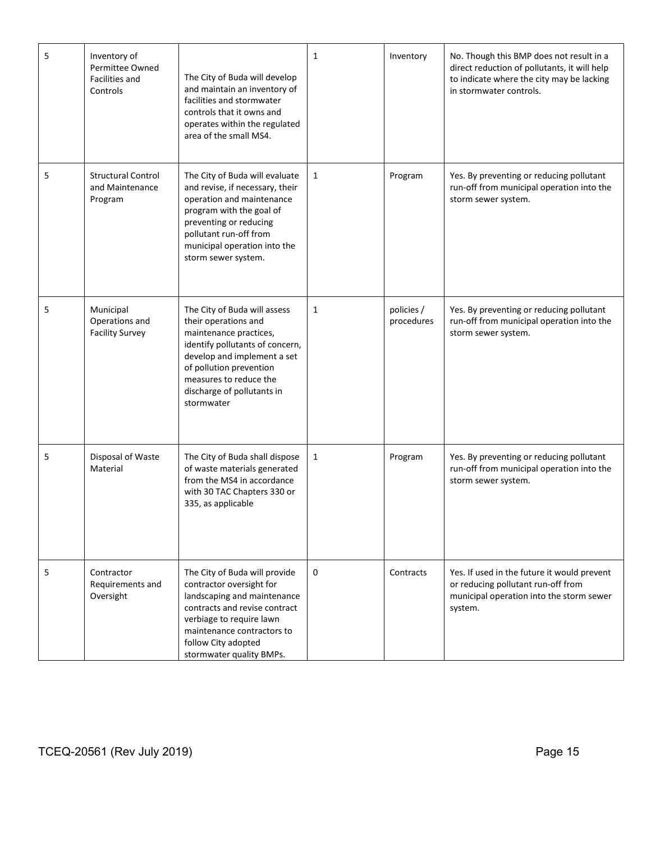| 5 | Inventory of<br>Permittee Owned<br>Facilities and<br>Controls | The City of Buda will develop<br>and maintain an inventory of<br>facilities and stormwater<br>controls that it owns and<br>operates within the regulated<br>area of the small MS4.                                                                | $\mathbf{1}$ | Inventory                | No. Though this BMP does not result in a<br>direct reduction of pollutants, it will help<br>to indicate where the city may be lacking<br>in stormwater controls. |
|---|---------------------------------------------------------------|---------------------------------------------------------------------------------------------------------------------------------------------------------------------------------------------------------------------------------------------------|--------------|--------------------------|------------------------------------------------------------------------------------------------------------------------------------------------------------------|
| 5 | <b>Structural Control</b><br>and Maintenance<br>Program       | The City of Buda will evaluate<br>and revise, if necessary, their<br>operation and maintenance<br>program with the goal of<br>preventing or reducing<br>pollutant run-off from<br>municipal operation into the<br>storm sewer system.             | $\mathbf{1}$ | Program                  | Yes. By preventing or reducing pollutant<br>run-off from municipal operation into the<br>storm sewer system.                                                     |
| 5 | Municipal<br>Operations and<br><b>Facility Survey</b>         | The City of Buda will assess<br>their operations and<br>maintenance practices,<br>identify pollutants of concern,<br>develop and implement a set<br>of pollution prevention<br>measures to reduce the<br>discharge of pollutants in<br>stormwater | $\mathbf{1}$ | policies /<br>procedures | Yes. By preventing or reducing pollutant<br>run-off from municipal operation into the<br>storm sewer system.                                                     |
| 5 | Disposal of Waste<br>Material                                 | The City of Buda shall dispose<br>of waste materials generated<br>from the MS4 in accordance<br>with 30 TAC Chapters 330 or<br>335, as applicable                                                                                                 | $\mathbf{1}$ | Program                  | Yes. By preventing or reducing pollutant<br>run-off from municipal operation into the<br>storm sewer system.                                                     |
| 5 | Contractor<br>Requirements and<br>Oversight                   | The City of Buda will provide<br>contractor oversight for<br>landscaping and maintenance<br>contracts and revise contract<br>verbiage to require lawn<br>maintenance contractors to<br>follow City adopted<br>stormwater quality BMPs.            | 0            | Contracts                | Yes. If used in the future it would prevent<br>or reducing pollutant run-off from<br>municipal operation into the storm sewer<br>system.                         |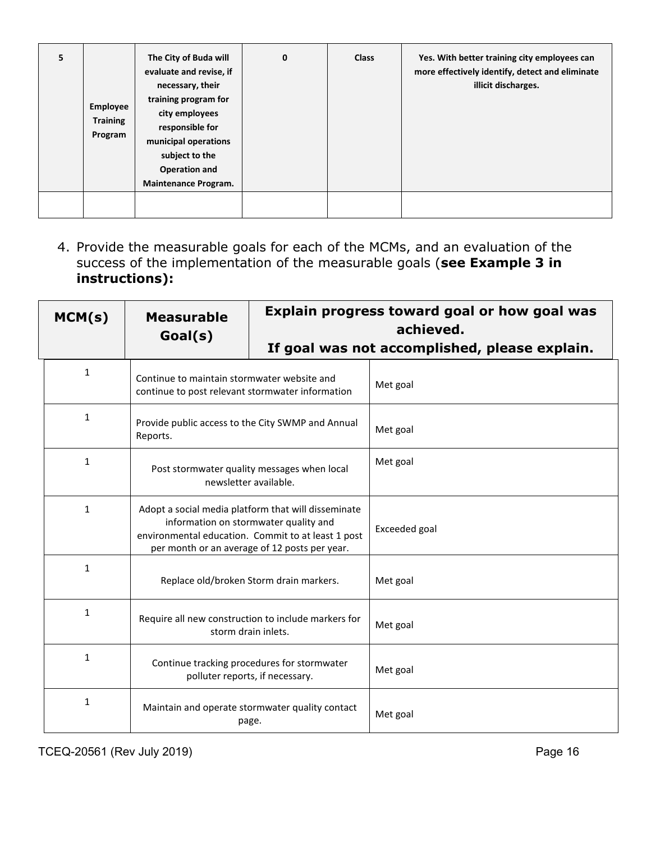| 5 | Employee<br><b>Training</b><br>Program | The City of Buda will<br>evaluate and revise, if<br>necessary, their<br>training program for<br>city employees<br>responsible for<br>municipal operations<br>subject to the<br><b>Operation and</b><br><b>Maintenance Program.</b> | $\mathbf 0$ | <b>Class</b> | Yes. With better training city employees can<br>more effectively identify, detect and eliminate<br>illicit discharges. |
|---|----------------------------------------|------------------------------------------------------------------------------------------------------------------------------------------------------------------------------------------------------------------------------------|-------------|--------------|------------------------------------------------------------------------------------------------------------------------|
|   |                                        |                                                                                                                                                                                                                                    |             |              |                                                                                                                        |

4. Provide the measurable goals for each of the MCMs, and an evaluation of the success of the implementation of the measurable goals (**see Example 3 in instructions):**

| MCM(s)       | <b>Measurable</b><br>Goal(s)                                                                                                                                                                        | Explain progress toward goal or how goal was<br>achieved.<br>If goal was not accomplished, please explain. |               |  |
|--------------|-----------------------------------------------------------------------------------------------------------------------------------------------------------------------------------------------------|------------------------------------------------------------------------------------------------------------|---------------|--|
|              |                                                                                                                                                                                                     |                                                                                                            |               |  |
| $\mathbf{1}$ | Continue to maintain stormwater website and<br>continue to post relevant stormwater information                                                                                                     |                                                                                                            | Met goal      |  |
| 1            | Provide public access to the City SWMP and Annual<br>Reports.                                                                                                                                       |                                                                                                            | Met goal      |  |
| $\mathbf{1}$ | Post stormwater quality messages when local<br>newsletter available.                                                                                                                                |                                                                                                            | Met goal      |  |
| $\mathbf{1}$ | Adopt a social media platform that will disseminate<br>information on stormwater quality and<br>environmental education. Commit to at least 1 post<br>per month or an average of 12 posts per year. |                                                                                                            | Exceeded goal |  |
| $\mathbf{1}$ | Replace old/broken Storm drain markers.                                                                                                                                                             |                                                                                                            | Met goal      |  |
| $\mathbf{1}$ | Require all new construction to include markers for<br>storm drain inlets.                                                                                                                          |                                                                                                            | Met goal      |  |
| $\mathbf{1}$ | Continue tracking procedures for stormwater<br>polluter reports, if necessary.                                                                                                                      |                                                                                                            | Met goal      |  |
| $\mathbf{1}$ | Maintain and operate stormwater quality contact<br>page.                                                                                                                                            |                                                                                                            | Met goal      |  |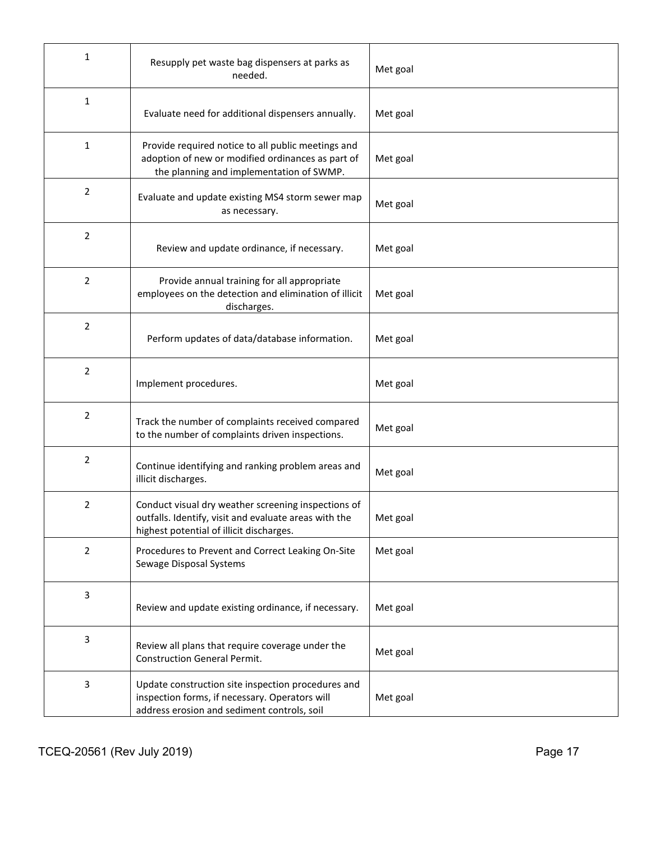| 1              | Resupply pet waste bag dispensers at parks as<br>needed.                                                                                                 | Met goal |
|----------------|----------------------------------------------------------------------------------------------------------------------------------------------------------|----------|
| $\mathbf{1}$   | Evaluate need for additional dispensers annually.                                                                                                        | Met goal |
| 1              | Provide required notice to all public meetings and<br>adoption of new or modified ordinances as part of<br>the planning and implementation of SWMP.      | Met goal |
| 2              | Evaluate and update existing MS4 storm sewer map<br>as necessary.                                                                                        | Met goal |
| 2              | Review and update ordinance, if necessary.                                                                                                               | Met goal |
| 2              | Provide annual training for all appropriate<br>employees on the detection and elimination of illicit<br>discharges.                                      | Met goal |
| 2              | Perform updates of data/database information.                                                                                                            | Met goal |
| 2              | Implement procedures.                                                                                                                                    | Met goal |
| 2              | Track the number of complaints received compared<br>to the number of complaints driven inspections.                                                      | Met goal |
| 2              | Continue identifying and ranking problem areas and<br>illicit discharges.                                                                                | Met goal |
| $\overline{2}$ | Conduct visual dry weather screening inspections of<br>outfalls. Identify, visit and evaluate areas with the<br>highest potential of illicit discharges. | Met goal |
| 2              | Procedures to Prevent and Correct Leaking On-Site<br>Sewage Disposal Systems                                                                             | Met goal |
| 3              | Review and update existing ordinance, if necessary.                                                                                                      | Met goal |
| 3              | Review all plans that require coverage under the<br><b>Construction General Permit.</b>                                                                  | Met goal |
| 3              | Update construction site inspection procedures and<br>inspection forms, if necessary. Operators will<br>address erosion and sediment controls, soil      | Met goal |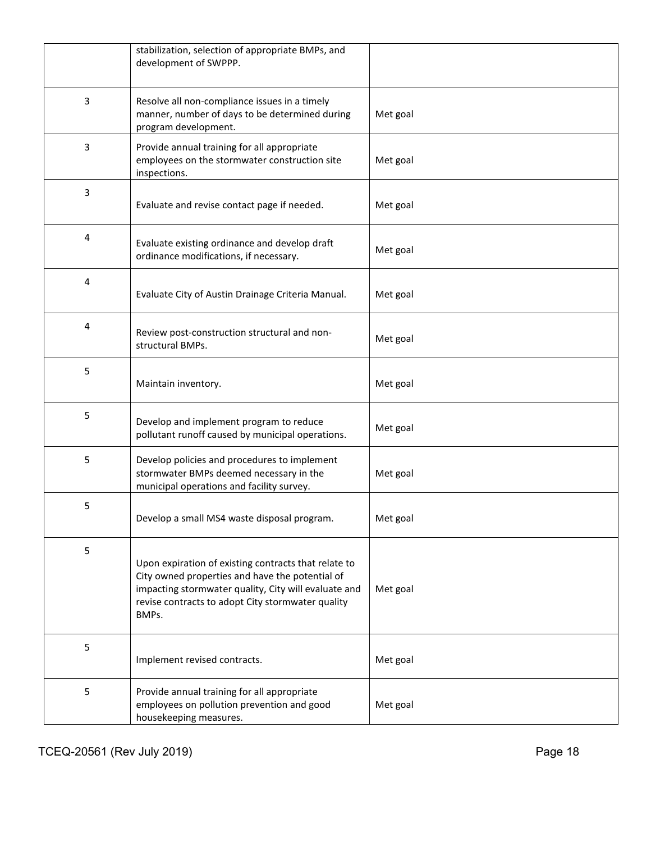|   | stabilization, selection of appropriate BMPs, and<br>development of SWPPP.                                                                                                                                                    |          |
|---|-------------------------------------------------------------------------------------------------------------------------------------------------------------------------------------------------------------------------------|----------|
| 3 | Resolve all non-compliance issues in a timely<br>manner, number of days to be determined during<br>program development.                                                                                                       | Met goal |
| 3 | Provide annual training for all appropriate<br>employees on the stormwater construction site<br>inspections.                                                                                                                  | Met goal |
| 3 | Evaluate and revise contact page if needed.                                                                                                                                                                                   | Met goal |
| 4 | Evaluate existing ordinance and develop draft<br>ordinance modifications, if necessary.                                                                                                                                       | Met goal |
| 4 | Evaluate City of Austin Drainage Criteria Manual.                                                                                                                                                                             | Met goal |
| 4 | Review post-construction structural and non-<br>structural BMPs.                                                                                                                                                              | Met goal |
| 5 | Maintain inventory.                                                                                                                                                                                                           | Met goal |
| 5 | Develop and implement program to reduce<br>pollutant runoff caused by municipal operations.                                                                                                                                   | Met goal |
| 5 | Develop policies and procedures to implement<br>stormwater BMPs deemed necessary in the<br>municipal operations and facility survey.                                                                                          | Met goal |
| 5 | Develop a small MS4 waste disposal program.                                                                                                                                                                                   | Met goal |
| 5 | Upon expiration of existing contracts that relate to<br>City owned properties and have the potential of<br>impacting stormwater quality, City will evaluate and<br>revise contracts to adopt City stormwater quality<br>BMPs. | Met goal |
| 5 | Implement revised contracts.                                                                                                                                                                                                  | Met goal |
| 5 | Provide annual training for all appropriate<br>employees on pollution prevention and good<br>housekeeping measures.                                                                                                           | Met goal |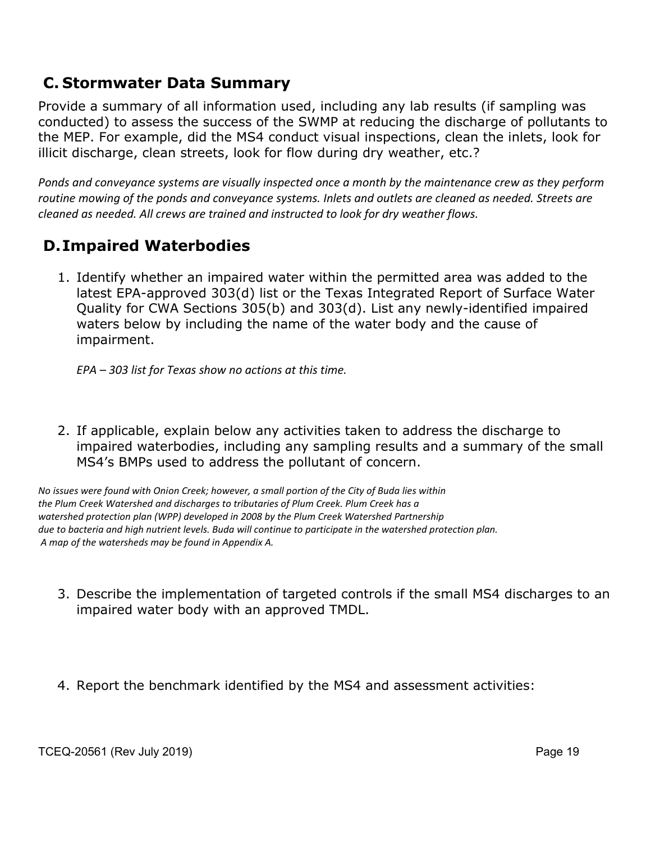#### **C. Stormwater Data Summary**

Provide a summary of all information used, including any lab results (if sampling was conducted) to assess the success of the SWMP at reducing the discharge of pollutants to the MEP. For example, did the MS4 conduct visual inspections, clean the inlets, look for illicit discharge, clean streets, look for flow during dry weather, etc.?

*Ponds and conveyance systems are visually inspected once a month by the maintenance crew as they perform routine mowing of the ponds and conveyance systems. Inlets and outlets are cleaned as needed. Streets are cleaned as needed. All crews are trained and instructed to look for dry weather flows.*

### **D.Impaired Waterbodies**

1. Identify whether an impaired water within the permitted area was added to the latest EPA-approved 303(d) list or the Texas Integrated Report of Surface Water Quality for CWA Sections 305(b) and 303(d). List any newly-identified impaired waters below by including the name of the water body and the cause of impairment.

*EPA – 303 list for Texas show no actions at this time.*

2. If applicable, explain below any activities taken to address the discharge to impaired waterbodies, including any sampling results and a summary of the small MS4's BMPs used to address the pollutant of concern.

*No issues were found with Onion Creek; however, a small portion of the City of Buda lies within the Plum Creek Watershed and discharges to tributaries of Plum Creek. Plum Creek has a watershed protection plan (WPP) developed in 2008 by the Plum Creek Watershed Partnership due to bacteria and high nutrient levels. Buda will continue to participate in the watershed protection plan. A map of the watersheds may be found in Appendix A.*

- 3. Describe the implementation of targeted controls if the small MS4 discharges to an impaired water body with an approved TMDL.
- 4. Report the benchmark identified by the MS4 and assessment activities: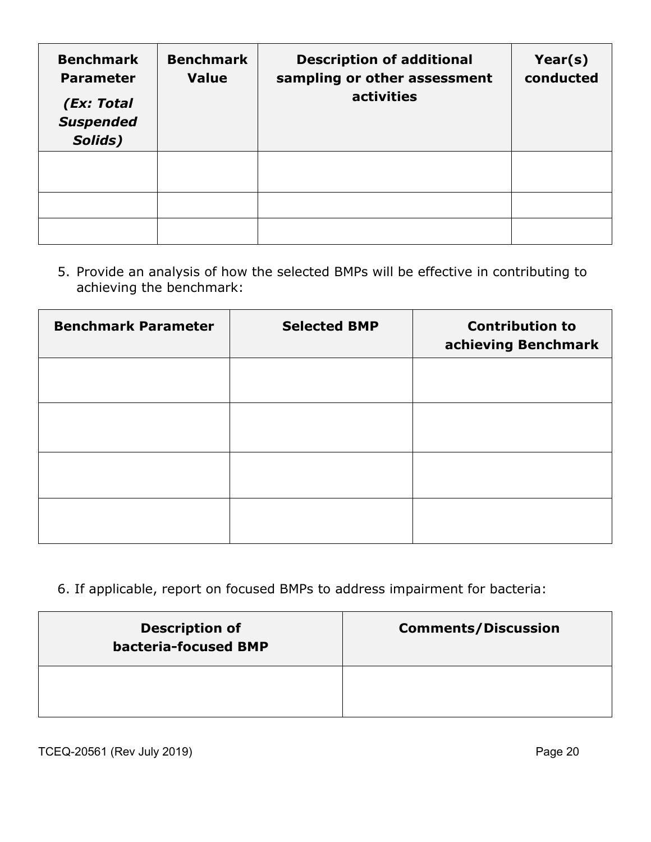| <b>Benchmark</b><br><b>Parameter</b><br>(Ex: Total<br><b>Suspended</b><br>Solids) | <b>Benchmark</b><br><b>Value</b> | <b>Description of additional</b><br>sampling or other assessment<br>activities | Year(s)<br>conducted |
|-----------------------------------------------------------------------------------|----------------------------------|--------------------------------------------------------------------------------|----------------------|
|                                                                                   |                                  |                                                                                |                      |
|                                                                                   |                                  |                                                                                |                      |
|                                                                                   |                                  |                                                                                |                      |

5. Provide an analysis of how the selected BMPs will be effective in contributing to achieving the benchmark:

| <b>Benchmark Parameter</b> | <b>Selected BMP</b> | <b>Contribution to</b><br>achieving Benchmark |
|----------------------------|---------------------|-----------------------------------------------|
|                            |                     |                                               |
|                            |                     |                                               |
|                            |                     |                                               |
|                            |                     |                                               |

### 6. If applicable, report on focused BMPs to address impairment for bacteria:

| <b>Description of</b><br>bacteria-focused BMP | <b>Comments/Discussion</b> |
|-----------------------------------------------|----------------------------|
|                                               |                            |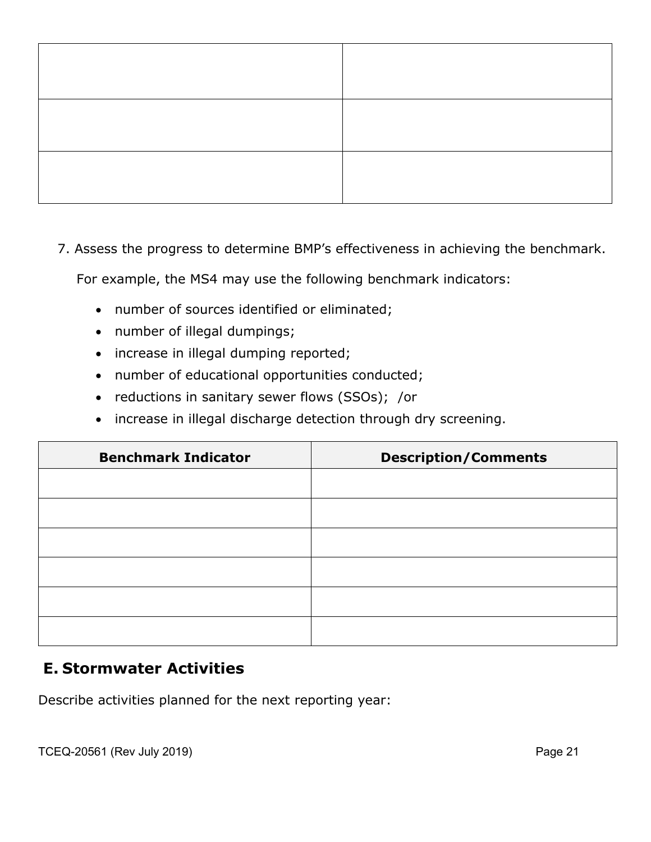7. Assess the progress to determine BMP's effectiveness in achieving the benchmark.

For example, the MS4 may use the following benchmark indicators:

- number of sources identified or eliminated;
- number of illegal dumpings;
- increase in illegal dumping reported;
- number of educational opportunities conducted;
- reductions in sanitary sewer flows (SSOs); /or
- increase in illegal discharge detection through dry screening.

| <b>Benchmark Indicator</b> | <b>Description/Comments</b> |
|----------------------------|-----------------------------|
|                            |                             |
|                            |                             |
|                            |                             |
|                            |                             |
|                            |                             |
|                            |                             |

#### **E. Stormwater Activities**

Describe activities planned for the next reporting year: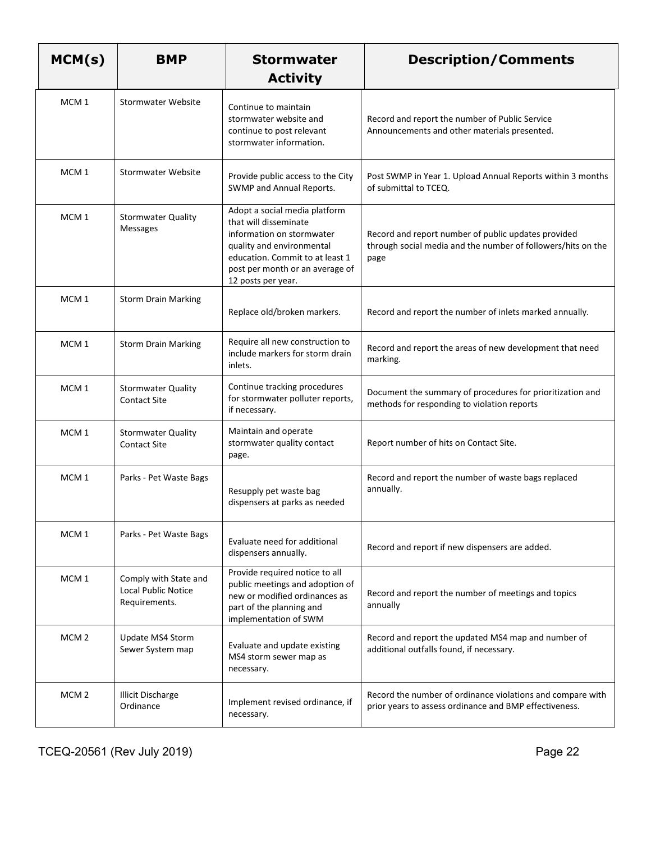| MCM(s)           | <b>BMP</b>                                                    | <b>Stormwater</b><br><b>Activity</b>                                                                                                                                                                         | <b>Description/Comments</b>                                                                                                 |
|------------------|---------------------------------------------------------------|--------------------------------------------------------------------------------------------------------------------------------------------------------------------------------------------------------------|-----------------------------------------------------------------------------------------------------------------------------|
| MCM <sub>1</sub> | <b>Stormwater Website</b>                                     | Continue to maintain<br>stormwater website and<br>continue to post relevant<br>stormwater information.                                                                                                       | Record and report the number of Public Service<br>Announcements and other materials presented.                              |
| MCM <sub>1</sub> | <b>Stormwater Website</b>                                     | Provide public access to the City<br>SWMP and Annual Reports.                                                                                                                                                | Post SWMP in Year 1. Upload Annual Reports within 3 months<br>of submittal to TCEQ.                                         |
| MCM <sub>1</sub> | <b>Stormwater Quality</b><br><b>Messages</b>                  | Adopt a social media platform<br>that will disseminate<br>information on stormwater<br>quality and environmental<br>education. Commit to at least 1<br>post per month or an average of<br>12 posts per year. | Record and report number of public updates provided<br>through social media and the number of followers/hits on the<br>page |
| MCM <sub>1</sub> | <b>Storm Drain Marking</b>                                    | Replace old/broken markers.                                                                                                                                                                                  | Record and report the number of inlets marked annually.                                                                     |
| MCM <sub>1</sub> | <b>Storm Drain Marking</b>                                    | Require all new construction to<br>include markers for storm drain<br>inlets.                                                                                                                                | Record and report the areas of new development that need<br>marking.                                                        |
| MCM <sub>1</sub> | <b>Stormwater Quality</b><br><b>Contact Site</b>              | Continue tracking procedures<br>for stormwater polluter reports,<br>if necessary.                                                                                                                            | Document the summary of procedures for prioritization and<br>methods for responding to violation reports                    |
| MCM <sub>1</sub> | <b>Stormwater Quality</b><br><b>Contact Site</b>              | Maintain and operate<br>stormwater quality contact<br>page.                                                                                                                                                  | Report number of hits on Contact Site.                                                                                      |
| MCM <sub>1</sub> | Parks - Pet Waste Bags                                        | Resupply pet waste bag<br>dispensers at parks as needed                                                                                                                                                      | Record and report the number of waste bags replaced<br>annually.                                                            |
| MCM <sub>1</sub> | Parks - Pet Waste Bags                                        | Evaluate need for additional<br>dispensers annually.                                                                                                                                                         | Record and report if new dispensers are added.                                                                              |
| MCM <sub>1</sub> | Comply with State and<br>Local Public Notice<br>Requirements. | Provide required notice to all<br>public meetings and adoption of<br>new or modified ordinances as<br>part of the planning and<br>implementation of SWM                                                      | Record and report the number of meetings and topics<br>annually                                                             |
| MCM <sub>2</sub> | Update MS4 Storm<br>Sewer System map                          | Evaluate and update existing<br>MS4 storm sewer map as<br>necessary.                                                                                                                                         | Record and report the updated MS4 map and number of<br>additional outfalls found, if necessary.                             |
| MCM <sub>2</sub> | <b>Illicit Discharge</b><br>Ordinance                         | Implement revised ordinance, if<br>necessary.                                                                                                                                                                | Record the number of ordinance violations and compare with<br>prior years to assess ordinance and BMP effectiveness.        |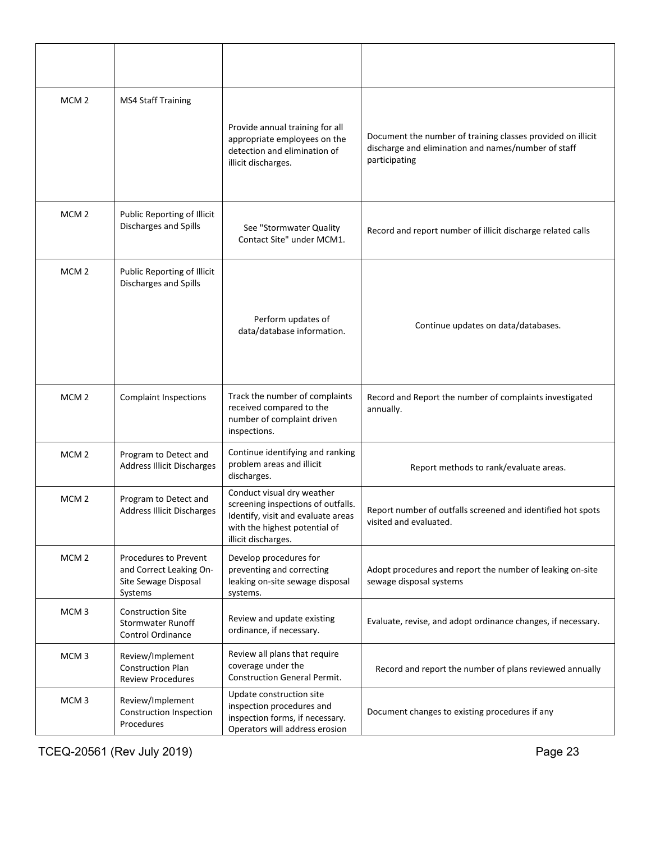| MCM <sub>2</sub> | <b>MS4 Staff Training</b>                                                           | Provide annual training for all<br>appropriate employees on the<br>detection and elimination of<br>illicit discharges.                                         | Document the number of training classes provided on illicit<br>discharge and elimination and names/number of staff<br>participating |
|------------------|-------------------------------------------------------------------------------------|----------------------------------------------------------------------------------------------------------------------------------------------------------------|-------------------------------------------------------------------------------------------------------------------------------------|
| MCM <sub>2</sub> | Public Reporting of Illicit<br>Discharges and Spills                                | See "Stormwater Quality<br>Contact Site" under MCM1.                                                                                                           | Record and report number of illicit discharge related calls                                                                         |
| MCM <sub>2</sub> | Public Reporting of Illicit<br>Discharges and Spills                                | Perform updates of<br>data/database information.                                                                                                               | Continue updates on data/databases.                                                                                                 |
| MCM <sub>2</sub> | <b>Complaint Inspections</b>                                                        | Track the number of complaints<br>received compared to the<br>number of complaint driven<br>inspections.                                                       | Record and Report the number of complaints investigated<br>annually.                                                                |
| MCM <sub>2</sub> | Program to Detect and<br><b>Address Illicit Discharges</b>                          | Continue identifying and ranking<br>problem areas and illicit<br>discharges.                                                                                   | Report methods to rank/evaluate areas.                                                                                              |
| MCM <sub>2</sub> | Program to Detect and<br><b>Address Illicit Discharges</b>                          | Conduct visual dry weather<br>screening inspections of outfalls.<br>Identify, visit and evaluate areas<br>with the highest potential of<br>illicit discharges. | Report number of outfalls screened and identified hot spots<br>visited and evaluated.                                               |
| MCM <sub>2</sub> | Procedures to Prevent<br>and Correct Leaking On-<br>Site Sewage Disposal<br>Systems | Develop procedures for<br>preventing and correcting<br>leaking on-site sewage disposal<br>systems.                                                             | Adopt procedures and report the number of leaking on-site<br>sewage disposal systems                                                |
| MCM <sub>3</sub> | <b>Construction Site</b><br><b>Stormwater Runoff</b><br>Control Ordinance           | Review and update existing<br>ordinance, if necessary.                                                                                                         | Evaluate, revise, and adopt ordinance changes, if necessary.                                                                        |
| MCM <sub>3</sub> | Review/Implement<br><b>Construction Plan</b><br><b>Review Procedures</b>            | Review all plans that require<br>coverage under the<br><b>Construction General Permit.</b>                                                                     | Record and report the number of plans reviewed annually                                                                             |
| MCM <sub>3</sub> | Review/Implement<br>Construction Inspection<br>Procedures                           | Update construction site<br>inspection procedures and<br>inspection forms, if necessary.<br>Operators will address erosion                                     | Document changes to existing procedures if any                                                                                      |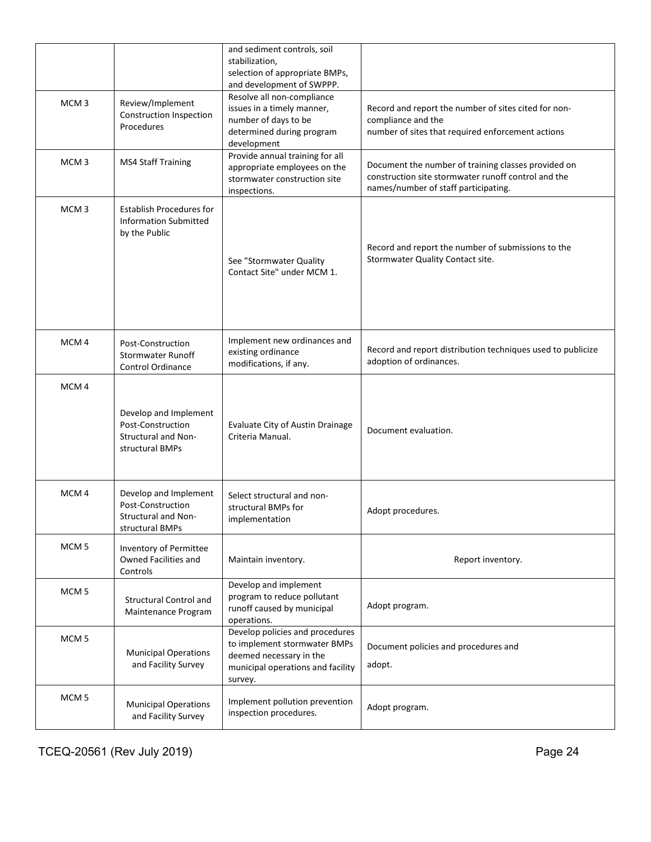|                  |                                                                                      | and sediment controls, soil<br>stabilization,<br>selection of appropriate BMPs,<br>and development of SWPPP.                               |                                                                                                                                                    |
|------------------|--------------------------------------------------------------------------------------|--------------------------------------------------------------------------------------------------------------------------------------------|----------------------------------------------------------------------------------------------------------------------------------------------------|
| MCM <sub>3</sub> | Review/Implement<br>Construction Inspection<br>Procedures                            | Resolve all non-compliance<br>issues in a timely manner,<br>number of days to be<br>determined during program<br>development               | Record and report the number of sites cited for non-<br>compliance and the<br>number of sites that required enforcement actions                    |
| MCM <sub>3</sub> | <b>MS4 Staff Training</b>                                                            | Provide annual training for all<br>appropriate employees on the<br>stormwater construction site<br>inspections.                            | Document the number of training classes provided on<br>construction site stormwater runoff control and the<br>names/number of staff participating. |
| MCM <sub>3</sub> | <b>Establish Procedures for</b><br><b>Information Submitted</b><br>by the Public     | See "Stormwater Quality<br>Contact Site" under MCM 1.                                                                                      | Record and report the number of submissions to the<br>Stormwater Quality Contact site.                                                             |
| MCM <sub>4</sub> | Post-Construction<br><b>Stormwater Runoff</b><br><b>Control Ordinance</b>            | Implement new ordinances and<br>existing ordinance<br>modifications, if any.                                                               | Record and report distribution techniques used to publicize<br>adoption of ordinances.                                                             |
| MCM <sub>4</sub> | Develop and Implement<br>Post-Construction<br>Structural and Non-<br>structural BMPs | Evaluate City of Austin Drainage<br>Criteria Manual.                                                                                       | Document evaluation.                                                                                                                               |
| MCM <sub>4</sub> | Develop and Implement<br>Post-Construction<br>Structural and Non-<br>structural BMPs | Select structural and non-<br>structural BMPs for<br>implementation                                                                        | Adopt procedures.                                                                                                                                  |
| MCM <sub>5</sub> | Inventory of Permittee<br>Owned Facilities and<br>Controls                           | Maintain inventory.                                                                                                                        | Report inventory.                                                                                                                                  |
| MCM <sub>5</sub> | <b>Structural Control and</b><br>Maintenance Program                                 | Develop and implement<br>program to reduce pollutant<br>runoff caused by municipal<br>operations.                                          | Adopt program.                                                                                                                                     |
| MCM <sub>5</sub> | <b>Municipal Operations</b><br>and Facility Survey                                   | Develop policies and procedures<br>to implement stormwater BMPs<br>deemed necessary in the<br>municipal operations and facility<br>survey. | Document policies and procedures and<br>adopt.                                                                                                     |
| MCM <sub>5</sub> | <b>Municipal Operations</b><br>and Facility Survey                                   | Implement pollution prevention<br>inspection procedures.                                                                                   | Adopt program.                                                                                                                                     |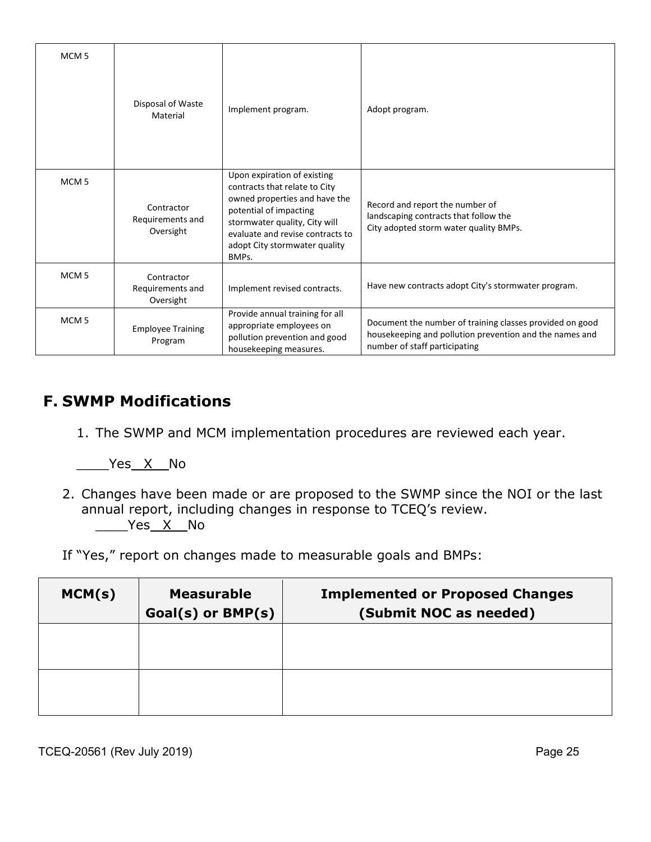| MCM <sub>5</sub> | Disposal of Waste<br>Material               | Implement program.                                                                                                                                                                                                                     | Adopt program.                                                                                                                                       |
|------------------|---------------------------------------------|----------------------------------------------------------------------------------------------------------------------------------------------------------------------------------------------------------------------------------------|------------------------------------------------------------------------------------------------------------------------------------------------------|
| MCM <sub>5</sub> | Contractor<br>Requirements and<br>Oversight | Upon expiration of existing<br>contracts that relate to City<br>owned properties and have the<br>potential of impacting<br>stormwater quality, City will<br>evaluate and revise contracts to<br>adopt City stormwater quality<br>BMPs. | Record and report the number of<br>landscaping contracts that follow the<br>City adopted storm water quality BMPs.                                   |
| MCM <sub>5</sub> | Contractor<br>Requirements and<br>Oversight | Implement revised contracts.                                                                                                                                                                                                           | Have new contracts adopt City's stormwater program.                                                                                                  |
| MCM <sub>5</sub> | <b>Employee Training</b><br>Program         | Provide annual training for all<br>appropriate employees on<br>pollution prevention and good<br>housekeeping measures.                                                                                                                 | Document the number of training classes provided on good<br>housekeeping and pollution prevention and the names and<br>number of staff participating |

#### **F. SWMP Modifications**

1. The SWMP and MCM implementation procedures are reviewed each year.

\_\_\_\_Yes \_X\_\_No

2. Changes have been made or are proposed to the SWMP since the NOI or the last annual report, including changes in response to TCEQ's review.  $\rule[-1em]{0.7em}{0.7em}{2.7em}$ 

If "Yes," report on changes made to measurable goals and BMPs:

| MCM(s) | <b>Measurable</b><br>$Goal(s)$ or $BMP(s)$ | <b>Implemented or Proposed Changes</b><br>(Submit NOC as needed) |
|--------|--------------------------------------------|------------------------------------------------------------------|
|        |                                            |                                                                  |
|        |                                            |                                                                  |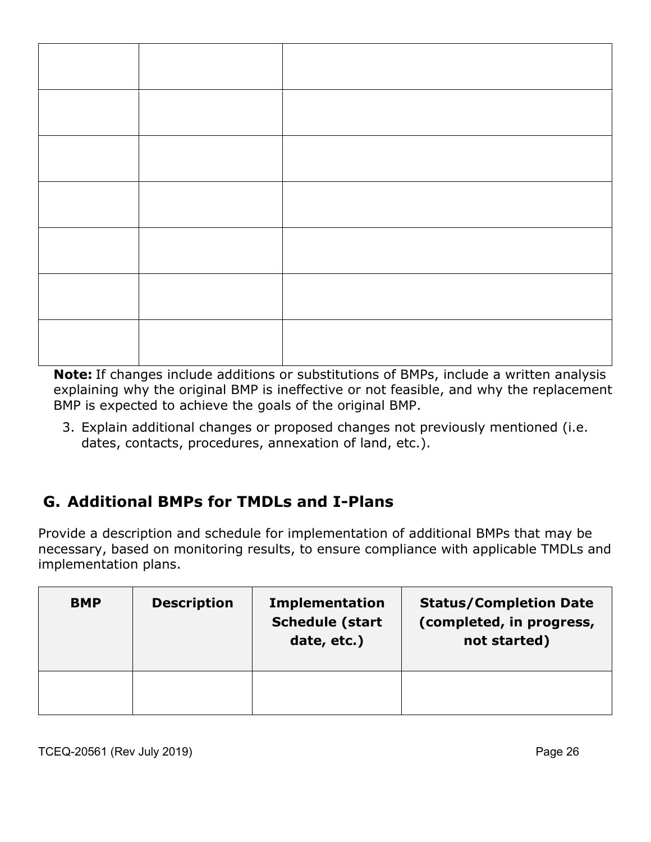**Note:** If changes include additions or substitutions of BMPs, include a written analysis explaining why the original BMP is ineffective or not feasible, and why the replacement BMP is expected to achieve the goals of the original BMP.

3. Explain additional changes or proposed changes not previously mentioned (i.e. dates, contacts, procedures, annexation of land, etc.).

## **G. Additional BMPs for TMDLs and I-Plans**

Provide a description and schedule for implementation of additional BMPs that may be necessary, based on monitoring results, to ensure compliance with applicable TMDLs and implementation plans.

| <b>BMP</b> | <b>Description</b> | <b>Implementation</b><br><b>Schedule (start</b><br>date, etc.) | <b>Status/Completion Date</b><br>(completed, in progress,<br>not started) |
|------------|--------------------|----------------------------------------------------------------|---------------------------------------------------------------------------|
|            |                    |                                                                |                                                                           |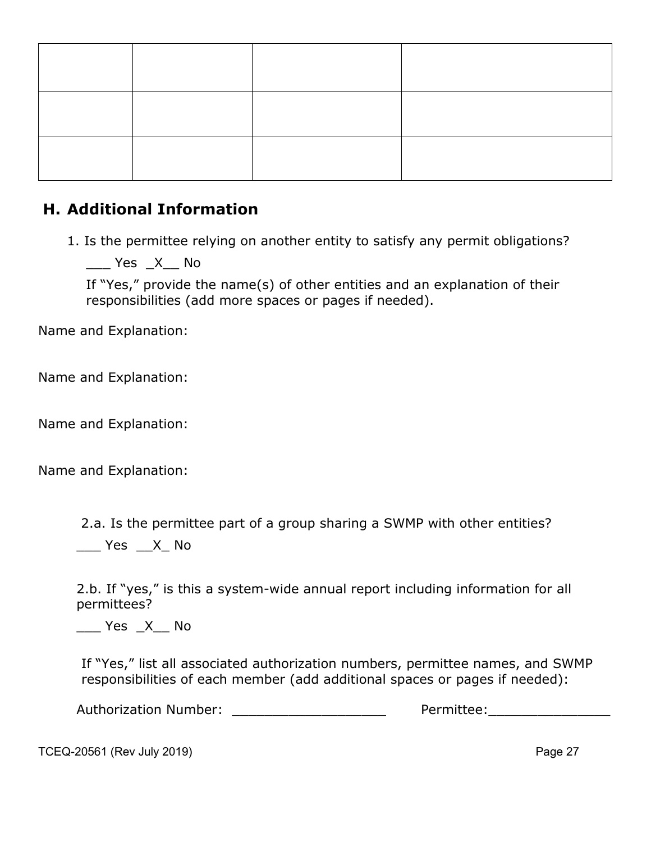#### **H. Additional Information**

1. Is the permittee relying on another entity to satisfy any permit obligations?

\_\_\_ Yes \_X\_\_ No

If "Yes," provide the name(s) of other entities and an explanation of their responsibilities (add more spaces or pages if needed).

Name and Explanation:

Name and Explanation:

Name and Explanation:

Name and Explanation:

2.a. Is the permittee part of a group sharing a SWMP with other entities?

Yes X No

2.b. If "yes," is this a system-wide annual report including information for all permittees?

 $\frac{1}{2}$  Yes  $\frac{X}{Y}$  No

If "Yes," list all associated authorization numbers, permittee names, and SWMP responsibilities of each member (add additional spaces or pages if needed):

Authorization Number: \_\_\_\_\_\_\_\_\_\_\_\_\_\_\_\_\_\_\_ Permittee:\_\_\_\_\_\_\_\_\_\_\_\_\_\_\_

TCEQ-20561 (Rev July 2019) **Page 27**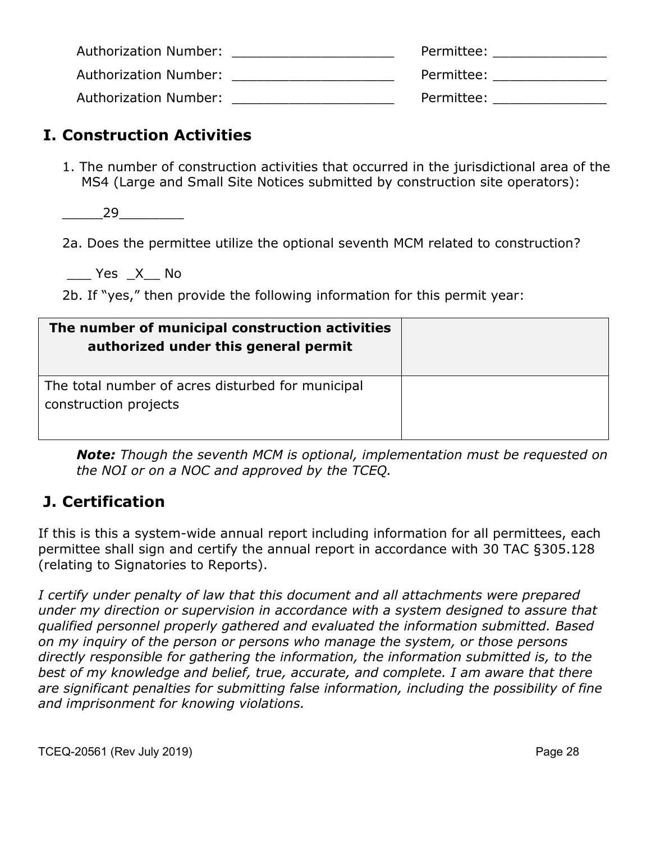| Authorization Number: | Permittee: |
|-----------------------|------------|
| Authorization Number: | Permittee: |
| Authorization Number: | Permittee: |

#### **I. Construction Activities**

1. The number of construction activities that occurred in the jurisdictional area of the MS4 (Large and Small Site Notices submitted by construction site operators):

 $29$ 

2a. Does the permittee utilize the optional seventh MCM related to construction?

\_\_\_ Yes \_X\_\_ No

2b. If "yes," then provide the following information for this permit year:

| The number of municipal construction activities<br>authorized under this general permit |  |
|-----------------------------------------------------------------------------------------|--|
| The total number of acres disturbed for municipal<br>construction projects              |  |

*Note: Though the seventh MCM is optional, implementation must be requested on the NOI or on a NOC and approved by the TCEQ.*

#### **J. Certification**

If this is this a system-wide annual report including information for all permittees, each permittee shall sign and certify the annual report in accordance with 30 TAC §305.128 (relating to Signatories to Reports).

*I certify under penalty of law that this document and all attachments were prepared under my direction or supervision in accordance with a system designed to assure that qualified personnel properly gathered and evaluated the information submitted. Based on my inquiry of the person or persons who manage the system, or those persons directly responsible for gathering the information, the information submitted is, to the best of my knowledge and belief, true, accurate, and complete. I am aware that there are significant penalties for submitting false information, including the possibility of fine and imprisonment for knowing violations.*